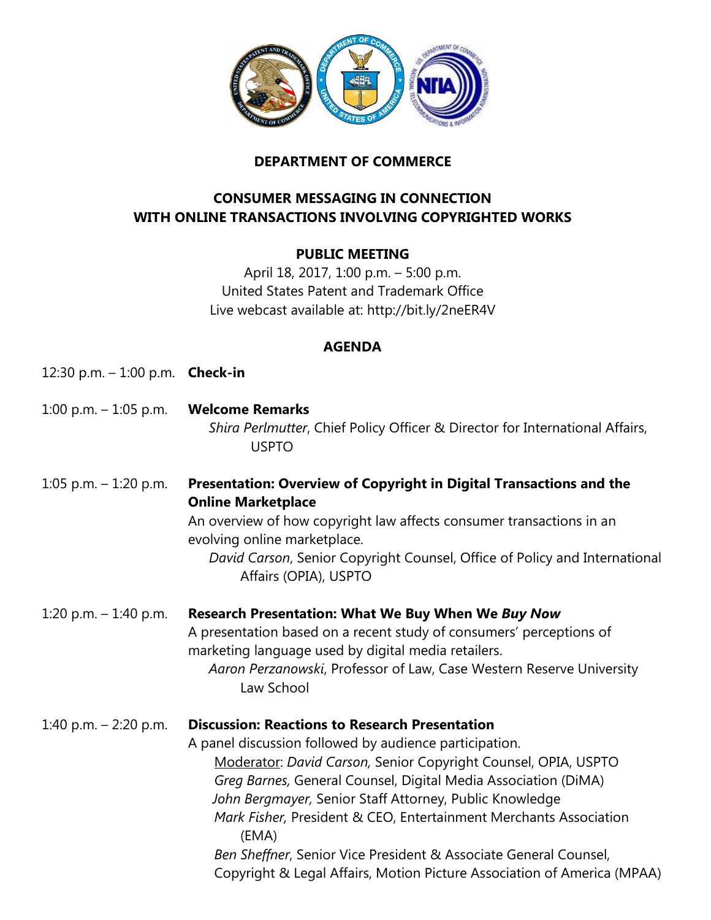

## **DEPARTMENT OF COMMERCE**

## **CONSUMER MESSAGING IN CONNECTION WITH ONLINE TRANSACTIONS INVOLVING COPYRIGHTED WORKS**

## **PUBLIC MEETING**

April 18, 2017, 1:00 p.m. – 5:00 p.m. United States Patent and Trademark Office Live webcast available at: http://bit.ly/2neER4V

## **AGENDA**

| AGENDA                                   |                                                                                                                                                                                                                                                                                                                                                                                                                                                                                                                                             |
|------------------------------------------|---------------------------------------------------------------------------------------------------------------------------------------------------------------------------------------------------------------------------------------------------------------------------------------------------------------------------------------------------------------------------------------------------------------------------------------------------------------------------------------------------------------------------------------------|
| 12:30 p.m. $-$ 1:00 p.m. <b>Check-in</b> |                                                                                                                                                                                                                                                                                                                                                                                                                                                                                                                                             |
| 1:00 p.m. $-$ 1:05 p.m.                  | <b>Welcome Remarks</b><br>Shira Perlmutter, Chief Policy Officer & Director for International Affairs,<br><b>USPTO</b>                                                                                                                                                                                                                                                                                                                                                                                                                      |
| 1:05 p.m. $-$ 1:20 p.m.                  | Presentation: Overview of Copyright in Digital Transactions and the<br><b>Online Marketplace</b><br>An overview of how copyright law affects consumer transactions in an<br>evolving online marketplace.<br>David Carson, Senior Copyright Counsel, Office of Policy and International<br>Affairs (OPIA), USPTO                                                                                                                                                                                                                             |
| 1:20 p.m. $-$ 1:40 p.m.                  | <b>Research Presentation: What We Buy When We Buy Now</b><br>A presentation based on a recent study of consumers' perceptions of<br>marketing language used by digital media retailers.<br>Aaron Perzanowski, Professor of Law, Case Western Reserve University<br>Law School                                                                                                                                                                                                                                                               |
| 1:40 p.m. $-$ 2:20 p.m.                  | <b>Discussion: Reactions to Research Presentation</b><br>A panel discussion followed by audience participation.<br>Moderator: David Carson, Senior Copyright Counsel, OPIA, USPTO<br>Greg Barnes, General Counsel, Digital Media Association (DiMA)<br>John Bergmayer, Senior Staff Attorney, Public Knowledge<br>Mark Fisher, President & CEO, Entertainment Merchants Association<br>(EMA)<br>Ben Sheffner, Senior Vice President & Associate General Counsel,<br>Copyright & Legal Affairs, Motion Picture Association of America (MPAA) |